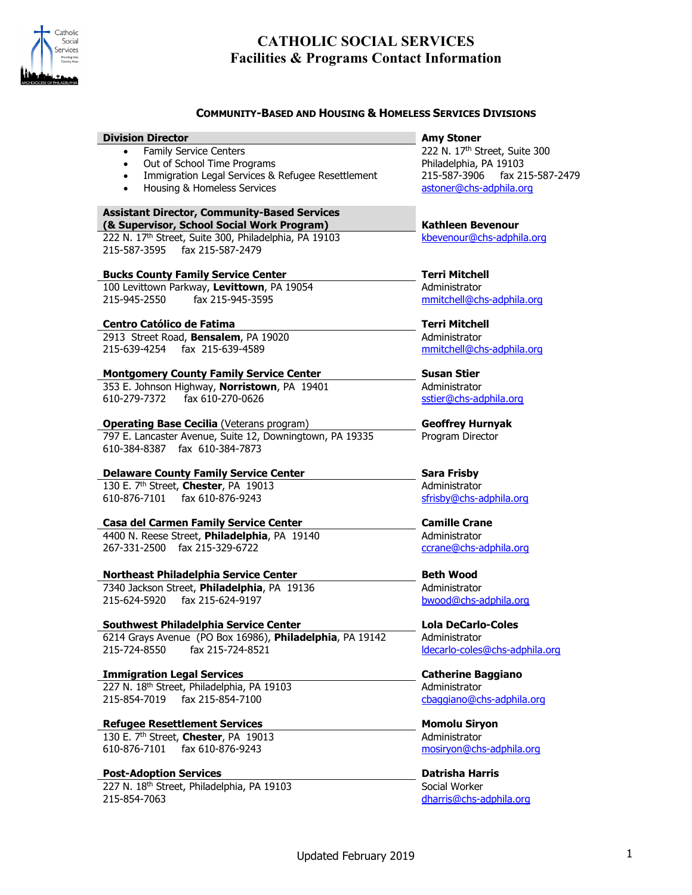

## **COMMUNITY-BASED AND HOUSING & HOMELESS SERVICES DIVISIONS**

| <b>Division Director</b>                                       | <b>Amy Stoner</b>              |
|----------------------------------------------------------------|--------------------------------|
| <b>Family Service Centers</b>                                  | 222 N. 17th Street, Suite 300  |
| Out of School Time Programs<br>$\bullet$                       | Philadelphia, PA 19103         |
| Immigration Legal Services & Refugee Resettlement<br>$\bullet$ | 215-587-3906 fax 215-587-2479  |
| • Housing & Homeless Services                                  | astoner@chs-adphila.org        |
| <b>Assistant Director, Community-Based Services</b>            |                                |
| (& Supervisor, School Social Work Program)                     | <b>Kathleen Bevenour</b>       |
| 222 N. 17th Street, Suite 300, Philadelphia, PA 19103          | kbevenour@chs-adphila.org      |
| 215-587-3595 fax 215-587-2479                                  |                                |
| <b>Bucks County Family Service Center</b>                      | <b>Terri Mitchell</b>          |
| 100 Levittown Parkway, Levittown, PA 19054                     | Administrator                  |
| fax 215-945-3595<br>215-945-2550                               | mmitchell@chs-adphila.org      |
| Centro Católico de Fatima                                      | <b>Terri Mitchell</b>          |
| 2913 Street Road, Bensalem, PA 19020                           | Administrator                  |
| 215-639-4254 fax 215-639-4589                                  | mmitchell@chs-adphila.org      |
| <b>Montgomery County Family Service Center</b>                 | <b>Susan Stier</b>             |
| 353 E. Johnson Highway, Norristown, PA 19401                   | Administrator                  |
| 610-279-7372 fax 610-270-0626                                  | sstier@chs-adphila.org         |
| <b>Operating Base Cecilia (Veterans program)</b>               | <b>Geoffrey Hurnyak</b>        |
| 797 E. Lancaster Avenue, Suite 12, Downingtown, PA 19335       | Program Director               |
| 610-384-8387 fax 610-384-7873                                  |                                |
| <b>Delaware County Family Service Center</b>                   | <b>Sara Frisby</b>             |
| 130 E. 7th Street, Chester, PA 19013                           | Administrator                  |
| 610-876-7101 fax 610-876-9243                                  | sfrisby@chs-adphila.org        |
| <b>Casa del Carmen Family Service Center</b>                   | <b>Camille Crane</b>           |
| 4400 N. Reese Street, Philadelphia, PA 19140                   | Administrator                  |
| 267-331-2500 fax 215-329-6722                                  | ccrane@chs-adphila.org         |
|                                                                |                                |
| Northeast Philadelphia Service Center                          | <b>Beth Wood</b>               |
| 7340 Jackson Street, Philadelphia, PA 19136                    | Administrator                  |
| 215-624-5920 fax 215-624-9197                                  | bwood@chs-adphila.org          |
| <b>Southwest Philadelphia Service Center</b>                   | <b>Lola DeCarlo-Coles</b>      |
| 6214 Grays Avenue (PO Box 16986), Philadelphia, PA 19142       | Administrator                  |
| 215-724-8550<br>fax 215-724-8521                               | Idecarlo-coles@chs-adphila.org |
| <b>Immigration Legal Services</b>                              | <b>Catherine Baggiano</b>      |
| 227 N. 18th Street, Philadelphia, PA 19103                     | Administrator                  |
| fax 215-854-7100<br>215-854-7019                               | cbaggiano@chs-adphila.org      |
| <b>Refugee Resettlement Services</b>                           | <b>Momolu Siryon</b>           |
| 130 E. 7th Street, Chester, PA 19013                           | Administrator                  |
| 610-876-7101<br>fax 610-876-9243                               | mosiryon@chs-adphila.org       |
| <b>Post-Adoption Services</b>                                  | <b>Datrisha Harris</b>         |
| 227 N. 18th Street, Philadelphia, PA 19103                     | Social Worker                  |
| 215-854-7063                                                   | dharris@chs-adphila.org        |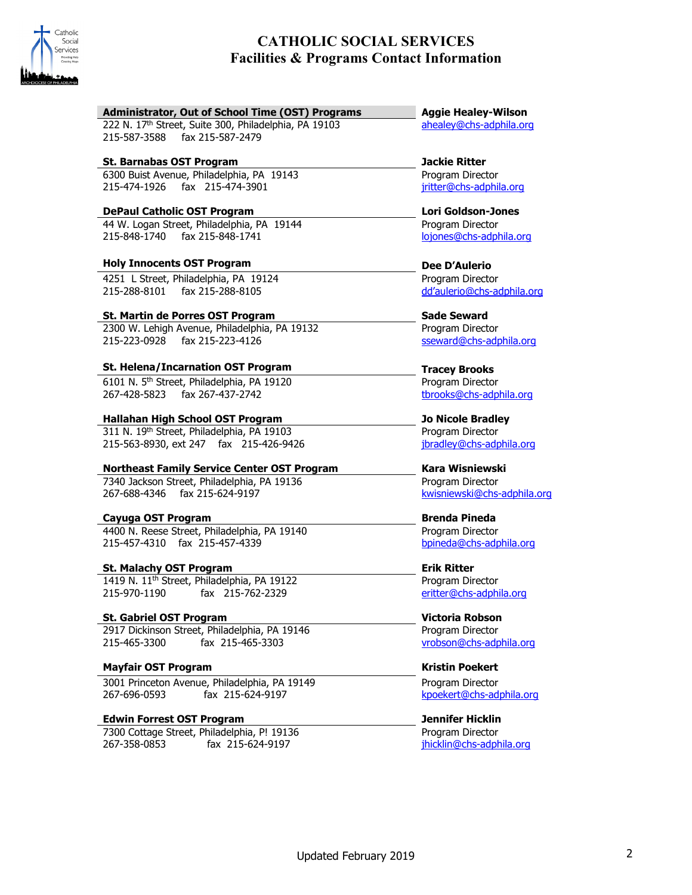

| Administrator, Out of School Time (OST) Programs        | <b>Aggie Healey-Wilson</b>  |
|---------------------------------------------------------|-----------------------------|
| 222 N. 17th Street, Suite 300, Philadelphia, PA 19103   | ahealey@chs-adphila.org     |
| 215-587-3588<br>fax 215-587-2479                        |                             |
| <b>St. Barnabas OST Program</b>                         | <b>Jackie Ritter</b>        |
| 6300 Buist Avenue, Philadelphia, PA 19143               | Program Director            |
| 215-474-1926 fax 215-474-3901                           | jritter@chs-adphila.org     |
| <b>DePaul Catholic OST Program</b>                      | <b>Lori Goldson-Jones</b>   |
| 44 W. Logan Street, Philadelphia, PA 19144              | Program Director            |
| 215-848-1740 fax 215-848-1741                           | lojones@chs-adphila.org     |
| <b>Holy Innocents OST Program</b>                       | Dee D'Aulerio               |
| 4251 L Street, Philadelphia, PA 19124                   | Program Director            |
| 215-288-8101<br>fax 215-288-8105                        | dd'aulerio@chs-adphila.org  |
| St. Martin de Porres OST Program                        | <b>Sade Seward</b>          |
| 2300 W. Lehigh Avenue, Philadelphia, PA 19132           | Program Director            |
| 215-223-0928 fax 215-223-4126                           | sseward@chs-adphila.org     |
| <b>St. Helena/Incarnation OST Program</b>               | <b>Tracey Brooks</b>        |
| 6101 N. 5 <sup>th</sup> Street, Philadelphia, PA 19120  | Program Director            |
| 267-428-5823 fax 267-437-2742                           | tbrooks@chs-adphila.org     |
| Hallahan High School OST Program                        | <b>Jo Nicole Bradley</b>    |
| 311 N. 19th Street, Philadelphia, PA 19103              | Program Director            |
| 215-563-8930, ext 247 fax 215-426-9426                  | jbradley@chs-adphila.org    |
| <b>Northeast Family Service Center OST Program</b>      | Kara Wisniewski             |
| 7340 Jackson Street, Philadelphia, PA 19136             | Program Director            |
| 267-688-4346 fax 215-624-9197                           | kwisniewski@chs-adphila.org |
| Cayuga OST Program                                      | <b>Brenda Pineda</b>        |
| 4400 N. Reese Street, Philadelphia, PA 19140            | Program Director            |
| 215-457-4310 fax 215-457-4339                           | bpineda@chs-adphila.org     |
| <b>St. Malachy OST Program</b>                          | <b>Erik Ritter</b>          |
| 1419 N. 11 <sup>th</sup> Street, Philadelphia, PA 19122 | Program Director            |
| 215-970-1190<br>fax 215-762-2329                        | eritter@chs-adphila.org     |
| <b>St. Gabriel OST Program</b>                          | <b>Victoria Robson</b>      |
| 2917 Dickinson Street, Philadelphia, PA 19146           | Program Director            |
| fax 215-465-3303<br>215-465-3300                        | vrobson@chs-adphila.org     |
| <b>Mayfair OST Program</b>                              | <b>Kristin Poekert</b>      |
| 3001 Princeton Avenue, Philadelphia, PA 19149           | Program Director            |
| fax 215-624-9197<br>267-696-0593                        | kpoekert@chs-adphila.org    |
| <b>Edwin Forrest OST Program</b>                        | <b>Jennifer Hicklin</b>     |
| 7300 Cottage Street, Philadelphia, P! 19136             | Program Director            |
| 267-358-0853<br>fax 215-624-9197                        | jhicklin@chs-adphila.org    |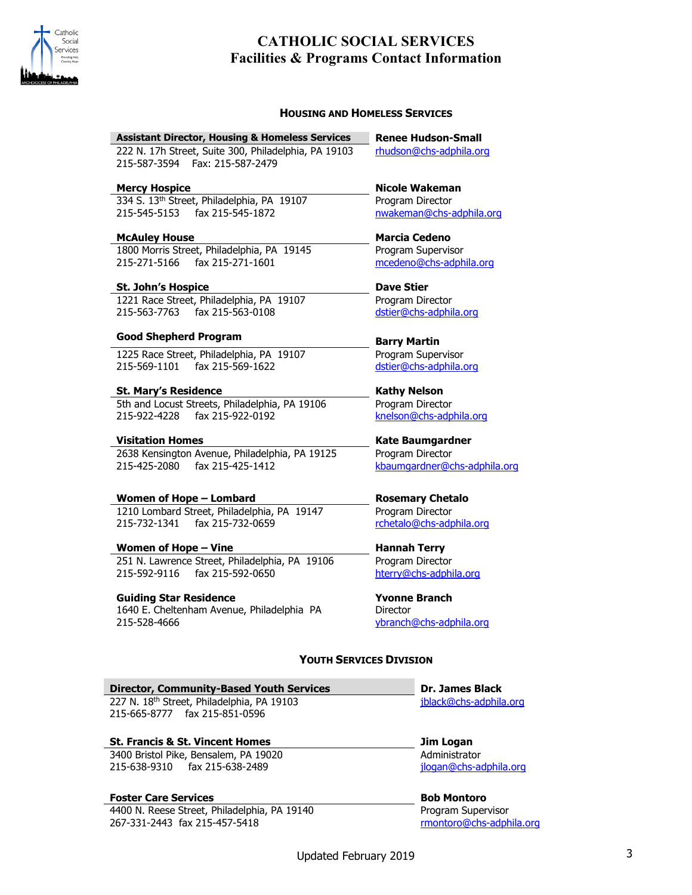

### **HOUSING AND HOMELESS SERVICES**

#### **Assistant Director, Housing & Homeless Services Renee Hudson-Small**

222 N. 17h Street, Suite 300, Philadelphia, PA 19103 215-587-3594 Fax: 215-587-2479

334 S. 13th Street, Philadelphia, PA 19107 215-545-5153 fax 215-545-1872

#### **McAuley House Marcia Cedeno**

1800 Morris Street, Philadelphia, PA 19145 215-271-5166 fax 215-271-1601

#### **St. John's Hospice Dave Stier**

1221 Race Street, Philadelphia, PA 19107 215-563-7763 fax 215-563-0108

## **Good Shepherd Program Barry Martin**

1225 Race Street, Philadelphia, PA 19107 215-569-1101 fax 215-569-1622

**St. Mary's Residence Kathy Nelson** 5th and Locust Streets, Philadelphia, PA 19106 215-922-4228 fax 215-922-0192

#### **Visitation Homes Kate Baumgardner**

2638 Kensington Avenue, Philadelphia, PA 19125 215-425-2080 fax 215-425-1412

**Women of Hope – Lombard Rosemary Chetalo** 1210 Lombard Street, Philadelphia, PA 19147 215-732-1341 fax 215-732-0659

**Women of Hope – Vine Hannah Terry** 251 N. Lawrence Street, Philadelphia, PA 19106 215-592-9116 fax 215-592-0650

## **Guiding Star Residence Yvonne Branch**

1640 E. Cheltenham Avenue, Philadelphia PA 215-528-4666

[rhudson@chs-adphila.org](mailto:rhudson@chs-adphila.org)

**Mercy Hospice Nicole Wakeman** Program Director [nwakeman@chs-adphila.org](mailto:nwakeman@chs-adphila.org)

> Program Supervisor [mcedeno@chs-adphila.org](mailto:mcedeno@chs-adphila.org)

Program Director [dstier@chs-adphila.org](mailto:dstier@chs-adphila.org)

Program Supervisor [dstier@chs-adphila.org](mailto:dstier@chs-adphila.org)

Program Director [knelson@chs-adphila.org](mailto:knelson@chs-adphila.org) 

Program Director [kbaumgardner@chs-adphila.org](mailto:kbaumgardner@chs-adphila.org)

Program Director [rchetalo@chs-adphila.org](mailto:rchetalo@chs-adphila.org)

Program Director [hterry@chs-adphila.org](mailto:hterry@chs-adphila.org)

**Director** [ybranch@chs-adphila.org](mailto:ybranch@chs-adphila.org)

## **YOUTH SERVICES DIVISION**

**Director, Community-Based Youth Services Dr. James Black** 227 N. 18th Street, Philadelphia, PA 19103 215-665-8777 fax 215-851-0596

**St. Francis & St. Vincent Homes Jim Logan**

3400 Bristol Pike, Bensalem, PA 19020 215-638-9310 fax 215-638-2489

## **Foster Care Services Bob Montoro**

4400 N. Reese Street, Philadelphia, PA 19140 267-331-2443 fax 215-457-5418

[jblack@chs-adphila.org](mailto:jblack@chs-adphila.org)

Administrator [jlogan@chs-adphila.org](mailto:jlogan@chs-adphila.org)

Program Supervisor [rmontoro@chs-adphila.org](mailto:rmontoro@chs-adphila.org)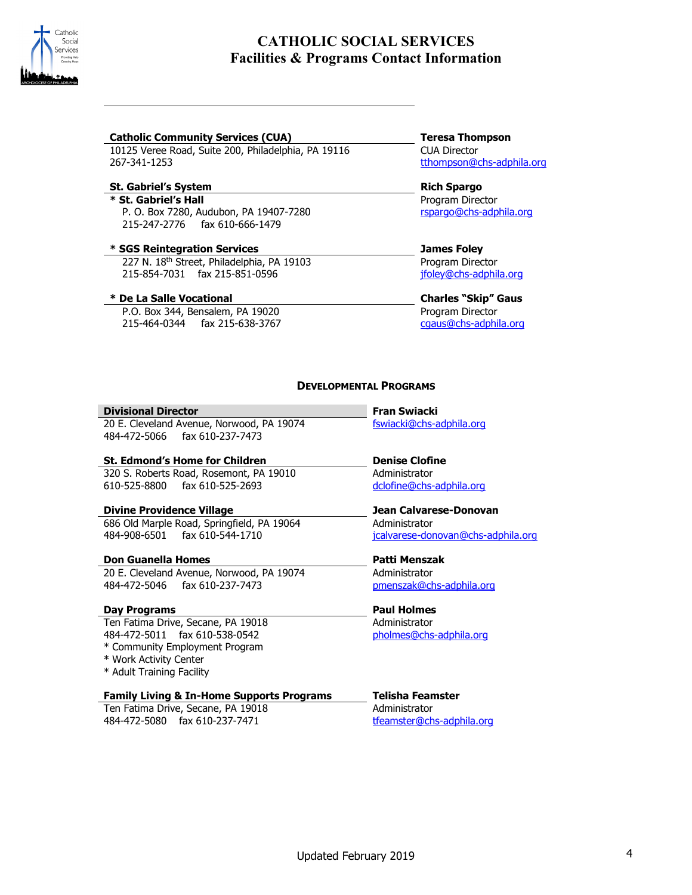

### **Catholic Community Services (CUA) Teresa Thompson**

10125 Veree Road, Suite 200, Philadelphia, PA 19116 267-341-1253

## **St. Gabriel's System Rich Spargo**

**\* St. Gabriel's Hall** P. O. Box 7280, Audubon, PA 19407-7280 215-247-2776 fax 610-666-1479

## **\* SGS Reintegration Services James Foley**

 227 N. 18th Street, Philadelphia, PA 19103 215-854-7031 fax 215-851-0596

## **\* De La Salle Vocational Charles "Skip" Gaus**

 P.O. Box 344, Bensalem, PA 19020 215-464-0344 fax 215-638-3767

## CUA Director [tthompson@chs-adphila.org](mailto:tthompson@chs-adphila.org)

# Program Director

[rspargo@chs-adphila.org](mailto:rspargo@chs-adphila.org)

Program Director [jfoley@chs-adphila.org](mailto:jfoley@chs-adphila.org)

Program Director [cgaus@chs-adphila.org](mailto:cgaus@chs-adphila.org)

## **DEVELOPMENTAL PROGRAMS**

#### **Divisional Director Fran Swiacki**

20 E. Cleveland Avenue, Norwood, PA 19074 484-472-5066 fax 610-237-7473

## **St. Edmond's Home for Children Denise Clofine**

320 S. Roberts Road, Rosemont, PA 19010 610-525-8800 fax 610-525-2693

## **Divine Providence Village Jean Calvarese-Donovan**

686 Old Marple Road, Springfield, PA 19064 484-908-6501 fax 610-544-1710

## **Don Guanella Homes Patti Menszak**

20 E. Cleveland Avenue, Norwood, PA 19074 484-472-5046 fax 610-237-7473

## **Day Programs Paul Holmes**

Ten Fatima Drive, Secane, PA 19018 484-472-5011 fax 610-538-0542

\* Community Employment Program

- \* Work Activity Center
- \* Adult Training Facility

## **Family Living & In-Home Supports Programs Telisha Feamster**

Ten Fatima Drive, Secane, PA 19018 484-472-5080 fax 610-237-7471

[fswiacki@chs-adphila.org](mailto:fswiacki@chs-adphila.org)

Administrator [dclofine@chs-adphila.org](mailto:dclofine@chs-adphila.org)

## Administrator [jcalvarese-donovan@chs-adphila.org](mailto:jcalvarese-donovan@chs-adphila.org)

# Administrator

[pmenszak@chs-adphila.org](mailto:pmenszak@chs-adphila.org)

Administrator [pholmes@chs-adphila.org](mailto:pholmes@chs-adphila.org)

Administrator [tfeamster@chs-adphila.org](mailto:tfeamster@chs-adphila.org)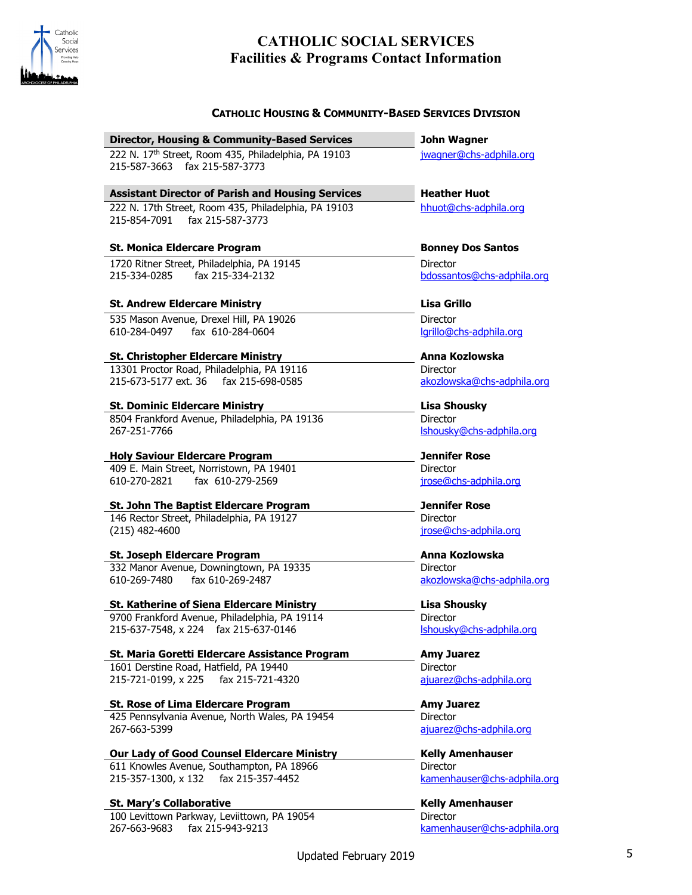

## **CATHOLIC SOCIAL SERVICES Facilities & Programs Contact Information**

| <b>CATHOLIC HOUSING &amp; COMMUNITY-BASED SERVICES DIVISION</b>                          |                                        |
|------------------------------------------------------------------------------------------|----------------------------------------|
| <b>Director, Housing &amp; Community-Based Services</b>                                  | John Wagner                            |
| 222 N. 17th Street, Room 435, Philadelphia, PA 19103<br>215-587-3663 fax 215-587-3773    | jwagner@chs-adphila.org                |
| <b>Assistant Director of Parish and Housing Services</b>                                 | <b>Heather Huot</b>                    |
| 222 N. 17th Street, Room 435, Philadelphia, PA 19103<br>215-854-7091<br>fax 215-587-3773 | hhuot@chs-adphila.org                  |
| <b>St. Monica Eldercare Program</b>                                                      | <b>Bonney Dos Santos</b>               |
| 1720 Ritner Street, Philadelphia, PA 19145<br>fax 215-334-2132<br>215-334-0285           | Director<br>bdossantos@chs-adphila.org |
| <b>St. Andrew Eldercare Ministry</b>                                                     | <b>Lisa Grillo</b>                     |
| 535 Mason Avenue, Drexel Hill, PA 19026<br>610-284-0497 fax 610-284-0604                 | Director<br>lgrillo@chs-adphila.org    |
| <b>St. Christopher Eldercare Ministry</b>                                                | Anna Kozlowska                         |
| 13301 Proctor Road, Philadelphia, PA 19116                                               | Director                               |
| 215-673-5177 ext. 36 fax 215-698-0585                                                    | akozlowska@chs-adphila.org             |
| <b>St. Dominic Eldercare Ministry</b>                                                    | <b>Lisa Shousky</b>                    |
| 8504 Frankford Avenue, Philadelphia, PA 19136                                            | Director                               |
| 267-251-7766                                                                             | Ishousky@chs-adphila.org               |
| <b>Holy Saviour Eldercare Program</b>                                                    | <b>Jennifer Rose</b>                   |
| 409 E. Main Street, Norristown, PA 19401                                                 | <b>Director</b>                        |
| 610-270-2821 fax 610-279-2569                                                            | jrose@chs-adphila.org                  |
| <b>St. John The Baptist Eldercare Program</b>                                            | <b>Jennifer Rose</b>                   |
| 146 Rector Street, Philadelphia, PA 19127                                                | <b>Director</b>                        |
| $(215)$ 482-4600                                                                         | jrose@chs-adphila.org                  |
| St. Joseph Eldercare Program                                                             | Anna Kozlowska                         |
| 332 Manor Avenue, Downingtown, PA 19335                                                  | Director                               |
| 610-269-7480 fax 610-269-2487                                                            | akozlowska@chs-adphila.org             |
| <b>St. Katherine of Siena Eldercare Ministry</b>                                         | <b>Lisa Shousky</b>                    |
| 9700 Frankford Avenue, Philadelphia, PA 19114                                            | Director                               |
| 215-637-7548, x 224 fax 215-637-0146                                                     | Ishousky@chs-adphila.org               |
| St. Maria Goretti Eldercare Assistance Program                                           | <b>Amy Juarez</b>                      |
| 1601 Derstine Road, Hatfield, PA 19440                                                   | Director                               |
| fax 215-721-4320<br>215-721-0199, x 225                                                  | ajuarez@chs-adphila.org                |
| St. Rose of Lima Eldercare Program                                                       | <b>Amy Juarez</b>                      |
| 425 Pennsylvania Avenue, North Wales, PA 19454                                           | <b>Director</b>                        |
| 267-663-5399                                                                             | ajuarez@chs-adphila.org                |

**Our Lady of Good Counsel Eldercare Ministry <b>Kelly Amenhauser** 611 Knowles Avenue, Southampton, PA 18966 215-357-1300, x 132 fax 215-357-4452

## **St. Mary's Collaborative Kelly Amenhauser Kelly Amenhauser**

100 Levittown Parkway, Leviittown, PA 19054 267-663-9683 fax 215-943-9213

**Director** 

Director

[kamenhauser@chs-adphila.org](mailto:kamenhauser@chs-adphila.org)

[kamenhauser@chs-adphila.org](mailto:kamenhauser@chs-adphila.org)